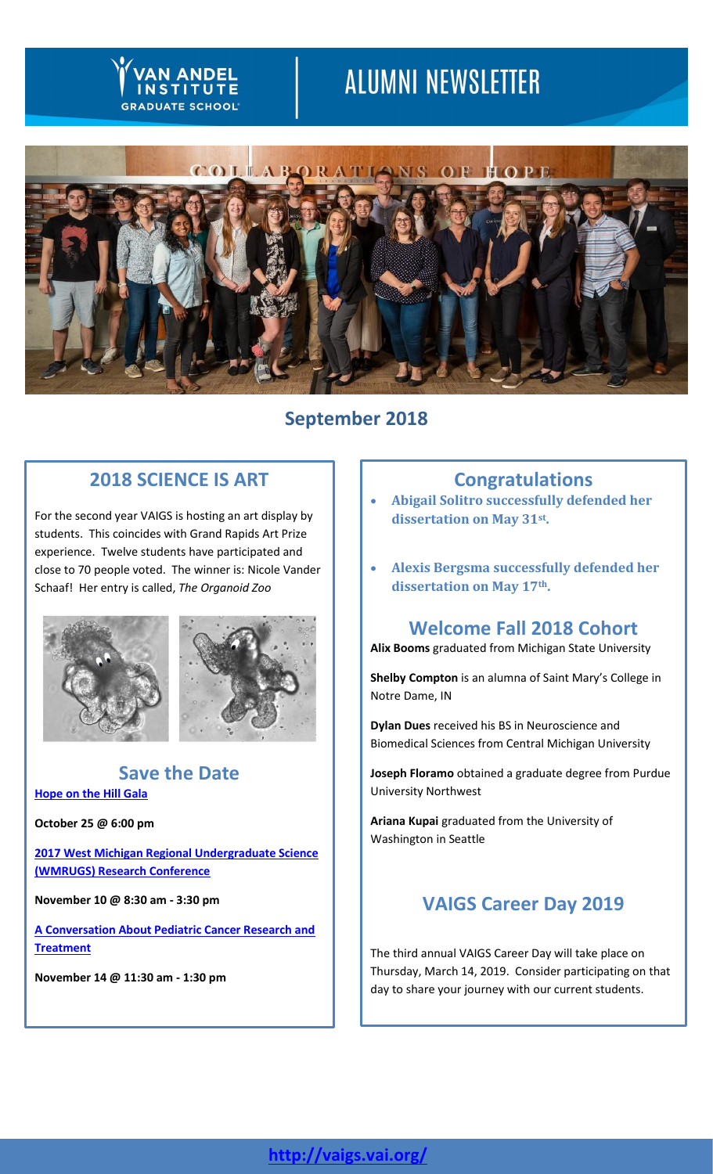# **ALUMNI NEWSLETTER**



# **September 2018**

## **2018 SCIENCE IS ART**

**SRADUATE SCHOOL** 

For the second year VAIGS is hosting an art display by students. This coincides with Grand Rapids Art Prize experience. Twelve students have participated and close to 70 people voted. The winner is: Nicole Vander Schaaf! Her entry is called, *The Organoid Zoo*





## **Save the Date [Hope on the Hill Gala](https://www.vai.org/event/hope-hill-gala-18/)**

**October 25 @ 6:00 pm**

**[2017 West Michigan Regional Undergraduate Science](https://vaigs.vai.org/undergrad-research/wmrugs/)  [\(WMRUGS\) Research Conference](https://vaigs.vai.org/undergrad-research/wmrugs/)** 

**November 10 @ 8:30 am - 3:30 pm**

**[A Conversation About Pediatric Cancer Research and](https://www.vai.org/event/pediatric-cancer/)  [Treatment](https://www.vai.org/event/pediatric-cancer/)** 

**November 14 @ 11:30 am - 1:30 pm**

## **Congratulations**

- **Abigail Solitro successfully defended her dissertation on May 31st .**
- **Alexis Bergsma successfully defended her dissertation on May 17th.**

## **Welcome Fall 2018 Cohort**

**Alix Booms** graduated from Michigan State University

**Shelby Compton** is an alumna of Saint Mary's College in Notre Dame, IN

**Dylan Dues** received his BS in Neuroscience and Biomedical Sciences from Central Michigan University

**Joseph Floramo** obtained a graduate degree from Purdue University Northwest

**Ariana Kupai** graduated from the University of Washington in Seattle

## **VAIGS Career Day 2019**

The third annual VAIGS Career Day will take place on Thursday, March 14, 2019. Consider participating on that day to share your journey with our current students.